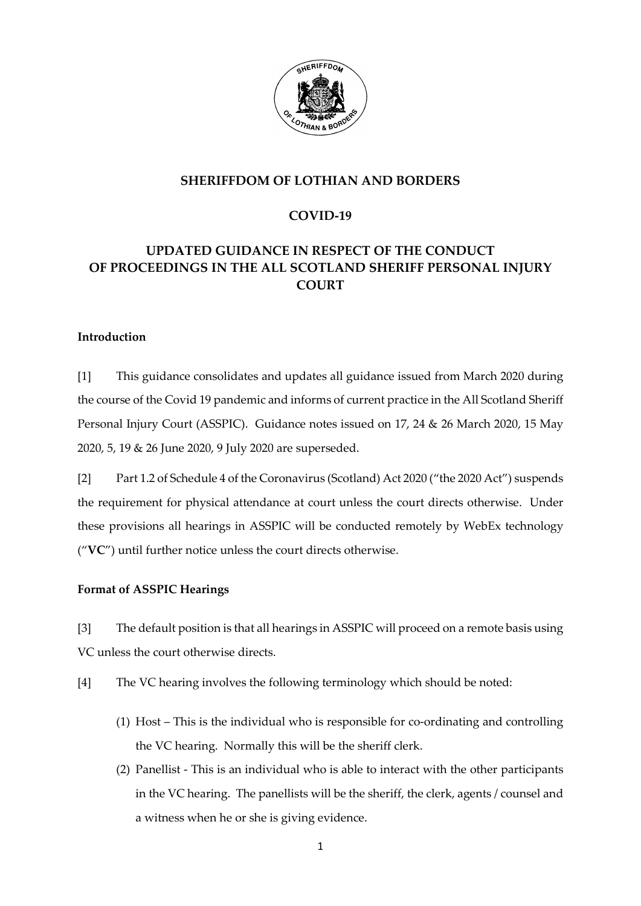

## **SHERIFFDOM OF LOTHIAN AND BORDERS**

# **COVID-19**

# **UPDATED GUIDANCE IN RESPECT OF THE CONDUCT OF PROCEEDINGS IN THE ALL SCOTLAND SHERIFF PERSONAL INJURY COURT**

### **Introduction**

[1] This guidance consolidates and updates all guidance issued from March 2020 during the course of the Covid 19 pandemic and informs of current practice in the All Scotland Sheriff Personal Injury Court (ASSPIC). Guidance notes issued on 17, 24 & 26 March 2020, 15 May 2020, 5, 19 & 26 June 2020, 9 July 2020 are superseded.

[2] Part 1.2 of Schedule 4 of the Coronavirus (Scotland) Act 2020 ("the 2020 Act") suspends the requirement for physical attendance at court unless the court directs otherwise. Under these provisions all hearings in ASSPIC will be conducted remotely by WebEx technology ("**VC**") until further notice unless the court directs otherwise.

### **Format of ASSPIC Hearings**

[3] The default position is that all hearings in ASSPIC will proceed on a remote basis using VC unless the court otherwise directs.

- [4] The VC hearing involves the following terminology which should be noted:
	- (1) Host This is the individual who is responsible for co-ordinating and controlling the VC hearing. Normally this will be the sheriff clerk.
	- (2) Panellist This is an individual who is able to interact with the other participants in the VC hearing. The panellists will be the sheriff, the clerk, agents / counsel and a witness when he or she is giving evidence.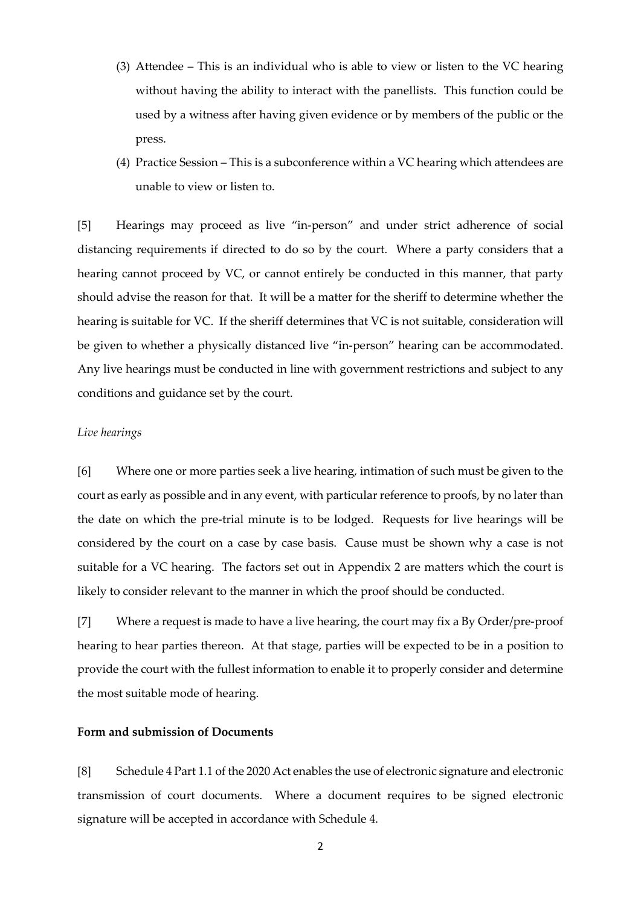- (3) Attendee This is an individual who is able to view or listen to the VC hearing without having the ability to interact with the panellists. This function could be used by a witness after having given evidence or by members of the public or the press.
- (4) Practice Session This is a subconference within a VC hearing which attendees are unable to view or listen to.

[5] Hearings may proceed as live "in-person" and under strict adherence of social distancing requirements if directed to do so by the court. Where a party considers that a hearing cannot proceed by VC, or cannot entirely be conducted in this manner, that party should advise the reason for that. It will be a matter for the sheriff to determine whether the hearing is suitable for VC. If the sheriff determines that VC is not suitable, consideration will be given to whether a physically distanced live "in-person" hearing can be accommodated. Any live hearings must be conducted in line with government restrictions and subject to any conditions and guidance set by the court.

### *Live hearings*

[6] Where one or more parties seek a live hearing, intimation of such must be given to the court as early as possible and in any event, with particular reference to proofs, by no later than the date on which the pre-trial minute is to be lodged. Requests for live hearings will be considered by the court on a case by case basis. Cause must be shown why a case is not suitable for a VC hearing. The factors set out in Appendix 2 are matters which the court is likely to consider relevant to the manner in which the proof should be conducted.

[7] Where a request is made to have a live hearing, the court may fix a By Order/pre-proof hearing to hear parties thereon. At that stage, parties will be expected to be in a position to provide the court with the fullest information to enable it to properly consider and determine the most suitable mode of hearing.

### **Form and submission of Documents**

[8] Schedule 4 Part 1.1 of the 2020 Act enables the use of electronic signature and electronic transmission of court documents. Where a document requires to be signed electronic signature will be accepted in accordance with Schedule 4.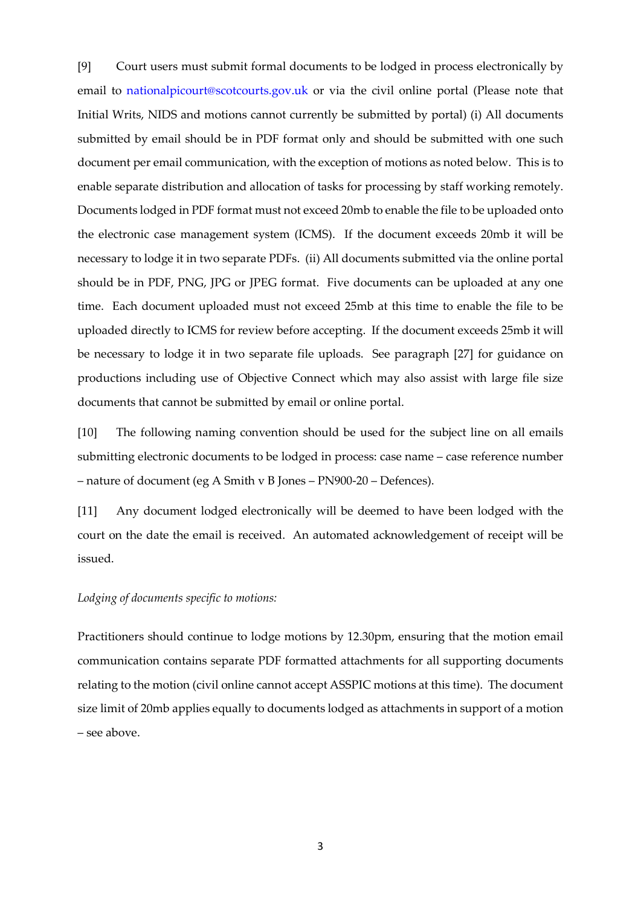[9] Court users must submit formal documents to be lodged in process electronically by email to [nationalpicourt@scotcourts.gov.uk](mailto:nationalpicourt@scotcourts.gov.uk) or via the civil online portal (Please note that Initial Writs, NIDS and motions cannot currently be submitted by portal) (i) All documents submitted by email should be in PDF format only and should be submitted with one such document per email communication, with the exception of motions as noted below. This is to enable separate distribution and allocation of tasks for processing by staff working remotely. Documents lodged in PDF format must not exceed 20mb to enable the file to be uploaded onto the electronic case management system (ICMS). If the document exceeds 20mb it will be necessary to lodge it in two separate PDFs. (ii) All documents submitted via the online portal should be in PDF, PNG, JPG or JPEG format. Five documents can be uploaded at any one time. Each document uploaded must not exceed 25mb at this time to enable the file to be uploaded directly to ICMS for review before accepting. If the document exceeds 25mb it will be necessary to lodge it in two separate file uploads. See paragraph [27] for guidance on productions including use of Objective Connect which may also assist with large file size documents that cannot be submitted by email or online portal.

[10] The following naming convention should be used for the subject line on all emails submitting electronic documents to be lodged in process: case name – case reference number – nature of document (eg A Smith v B Jones – PN900-20 – Defences).

[11] Any document lodged electronically will be deemed to have been lodged with the court on the date the email is received. An automated acknowledgement of receipt will be issued.

### *Lodging of documents specific to motions:*

Practitioners should continue to lodge motions by 12.30pm, ensuring that the motion email communication contains separate PDF formatted attachments for all supporting documents relating to the motion (civil online cannot accept ASSPIC motions at this time). The document size limit of 20mb applies equally to documents lodged as attachments in support of a motion – see above.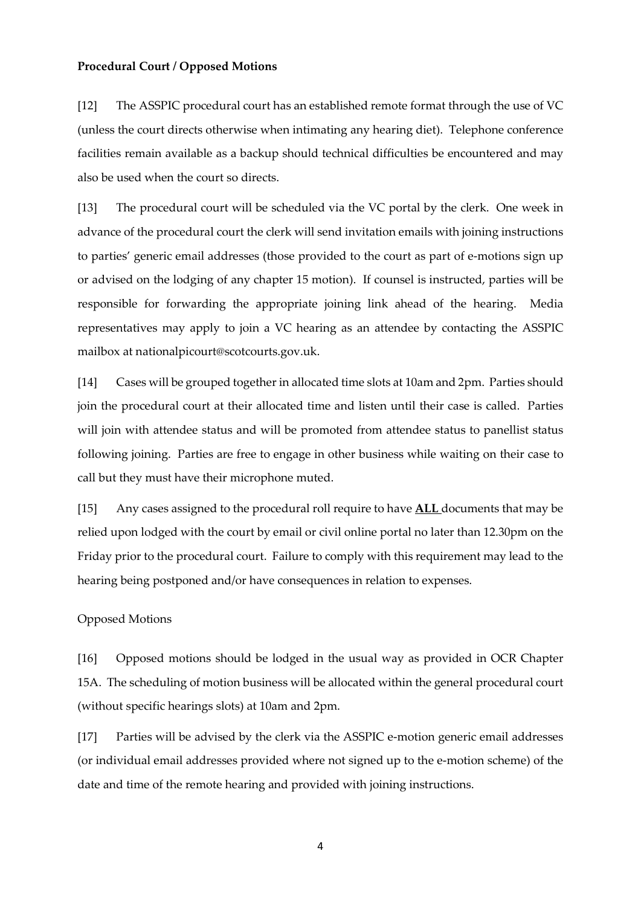### **Procedural Court / Opposed Motions**

[12] The ASSPIC procedural court has an established remote format through the use of VC (unless the court directs otherwise when intimating any hearing diet). Telephone conference facilities remain available as a backup should technical difficulties be encountered and may also be used when the court so directs.

[13] The procedural court will be scheduled via the VC portal by the clerk. One week in advance of the procedural court the clerk will send invitation emails with joining instructions to parties' generic email addresses (those provided to the court as part of e-motions sign up or advised on the lodging of any chapter 15 motion). If counsel is instructed, parties will be responsible for forwarding the appropriate joining link ahead of the hearing. Media representatives may apply to join a VC hearing as an attendee by contacting the ASSPIC mailbox at nationalpicourt@scotcourts.gov.uk.

[14] Cases will be grouped together in allocated time slots at 10am and 2pm. Parties should join the procedural court at their allocated time and listen until their case is called. Parties will join with attendee status and will be promoted from attendee status to panellist status following joining. Parties are free to engage in other business while waiting on their case to call but they must have their microphone muted.

[15] Any cases assigned to the procedural roll require to have **ALL** documents that may be relied upon lodged with the court by email or civil online portal no later than 12.30pm on the Friday prior to the procedural court. Failure to comply with this requirement may lead to the hearing being postponed and/or have consequences in relation to expenses.

### Opposed Motions

[16] Opposed motions should be lodged in the usual way as provided in OCR Chapter 15A. The scheduling of motion business will be allocated within the general procedural court (without specific hearings slots) at 10am and 2pm.

[17] Parties will be advised by the clerk via the ASSPIC e-motion generic email addresses (or individual email addresses provided where not signed up to the e-motion scheme) of the date and time of the remote hearing and provided with joining instructions.

4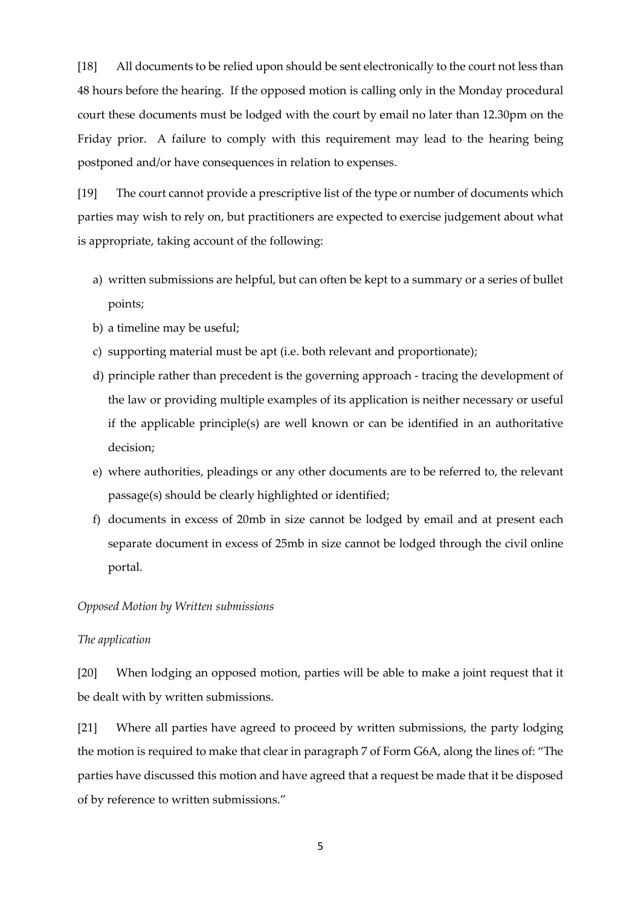[18] All documents to be relied upon should be sent electronically to the court not less than 48 hours before the hearing. If the opposed motion is calling only in the Monday procedural court these documents must be lodged with the court by email no later than 12.30pm on the Friday prior. A failure to comply with this requirement may lead to the hearing being postponed and/or have consequences in relation to expenses.

[19] The court cannot provide a prescriptive list of the type or number of documents which parties may wish to rely on, but practitioners are expected to exercise judgement about what is appropriate, taking account of the following:

- a) written submissions are helpful, but can often be kept to a summary or a series of bullet points;
- b) a timeline may be useful;
- c) supporting material must be apt (i.e. both relevant and proportionate);
- d) principle rather than precedent is the governing approach tracing the development of the law or providing multiple examples of its application is neither necessary or useful if the applicable principle(s) are well known or can be identified in an authoritative decision;
- e) where authorities, pleadings or any other documents are to be referred to, the relevant passage(s) should be clearly highlighted or identified;
- f) documents in excess of 20mb in size cannot be lodged by email and at present each separate document in excess of 25mb in size cannot be lodged through the civil online portal.

#### *Opposed Motion by Written submissions*

#### *The application*

[20] When lodging an opposed motion, parties will be able to make a joint request that it be dealt with by written submissions.

[21] Where all parties have agreed to proceed by written submissions, the party lodging the motion is required to make that clear in paragraph 7 of Form G6A, along the lines of: "The parties have discussed this motion and have agreed that a request be made that it be disposed of by reference to written submissions."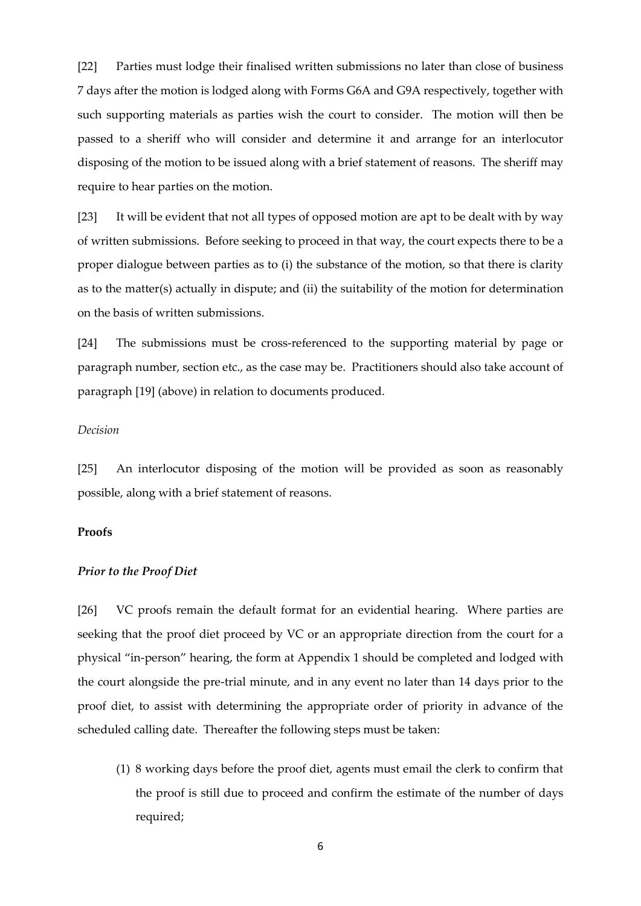[22] Parties must lodge their finalised written submissions no later than close of business 7 days after the motion is lodged along with Forms G6A and G9A respectively, together with such supporting materials as parties wish the court to consider. The motion will then be passed to a sheriff who will consider and determine it and arrange for an interlocutor disposing of the motion to be issued along with a brief statement of reasons. The sheriff may require to hear parties on the motion.

[23] It will be evident that not all types of opposed motion are apt to be dealt with by way of written submissions. Before seeking to proceed in that way, the court expects there to be a proper dialogue between parties as to (i) the substance of the motion, so that there is clarity as to the matter(s) actually in dispute; and (ii) the suitability of the motion for determination on the basis of written submissions.

[24] The submissions must be cross-referenced to the supporting material by page or paragraph number, section etc., as the case may be. Practitioners should also take account of paragraph [19] (above) in relation to documents produced.

### *Decision*

[25] An interlocutor disposing of the motion will be provided as soon as reasonably possible, along with a brief statement of reasons.

### **Proofs**

### *Prior to the Proof Diet*

[26] VC proofs remain the default format for an evidential hearing. Where parties are seeking that the proof diet proceed by VC or an appropriate direction from the court for a physical "in-person" hearing, the form at Appendix 1 should be completed and lodged with the court alongside the pre-trial minute, and in any event no later than 14 days prior to the proof diet, to assist with determining the appropriate order of priority in advance of the scheduled calling date. Thereafter the following steps must be taken:

(1) 8 working days before the proof diet, agents must email the clerk to confirm that the proof is still due to proceed and confirm the estimate of the number of days required;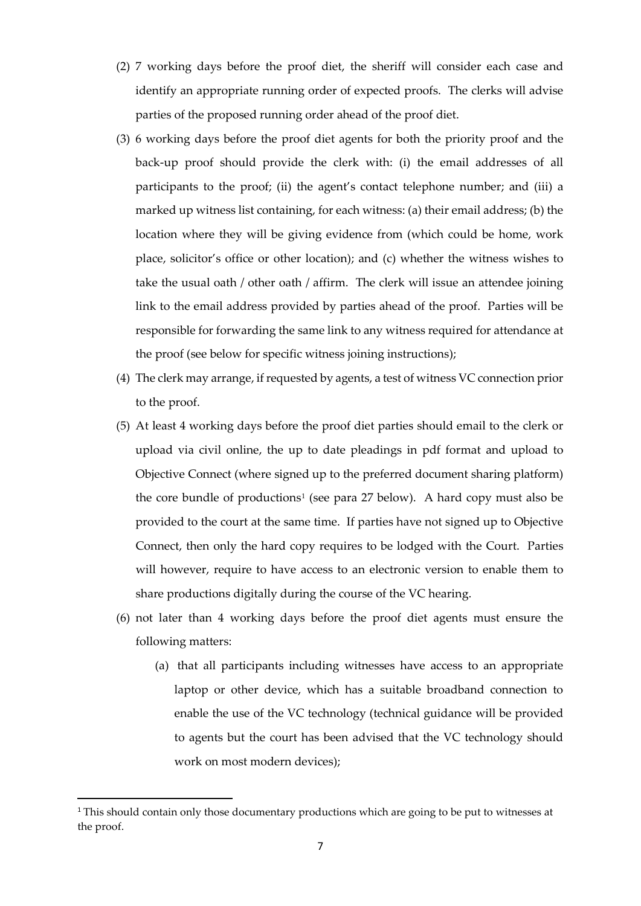- (2) 7 working days before the proof diet, the sheriff will consider each case and identify an appropriate running order of expected proofs. The clerks will advise parties of the proposed running order ahead of the proof diet.
- (3) 6 working days before the proof diet agents for both the priority proof and the back-up proof should provide the clerk with: (i) the email addresses of all participants to the proof; (ii) the agent's contact telephone number; and (iii) a marked up witness list containing, for each witness: (a) their email address; (b) the location where they will be giving evidence from (which could be home, work place, solicitor's office or other location); and (c) whether the witness wishes to take the usual oath / other oath / affirm. The clerk will issue an attendee joining link to the email address provided by parties ahead of the proof. Parties will be responsible for forwarding the same link to any witness required for attendance at the proof (see below for specific witness joining instructions);
- (4) The clerk may arrange, if requested by agents, a test of witness VC connection prior to the proof.
- (5) At least 4 working days before the proof diet parties should email to the clerk or upload via civil online, the up to date pleadings in pdf format and upload to Objective Connect (where signed up to the preferred document sharing platform) the core bundle of productions<sup>[1](#page-6-0)</sup> (see para 27 below). A hard copy must also be provided to the court at the same time. If parties have not signed up to Objective Connect, then only the hard copy requires to be lodged with the Court. Parties will however, require to have access to an electronic version to enable them to share productions digitally during the course of the VC hearing.
- (6) not later than 4 working days before the proof diet agents must ensure the following matters:
	- (a) that all participants including witnesses have access to an appropriate laptop or other device, which has a suitable broadband connection to enable the use of the VC technology (technical guidance will be provided to agents but the court has been advised that the VC technology should work on most modern devices);

<span id="page-6-0"></span><sup>&</sup>lt;sup>1</sup> This should contain only those documentary productions which are going to be put to witnesses at the proof.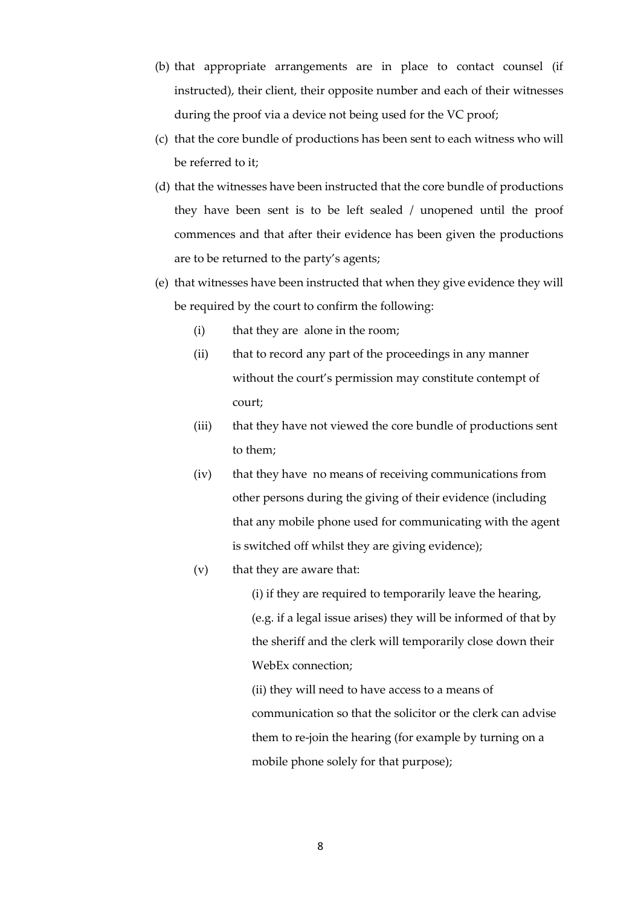- (b) that appropriate arrangements are in place to contact counsel (if instructed), their client, their opposite number and each of their witnesses during the proof via a device not being used for the VC proof;
- (c) that the core bundle of productions has been sent to each witness who will be referred to it;
- (d) that the witnesses have been instructed that the core bundle of productions they have been sent is to be left sealed / unopened until the proof commences and that after their evidence has been given the productions are to be returned to the party's agents;
- (e) that witnesses have been instructed that when they give evidence they will be required by the court to confirm the following:
	- (i) that they are alone in the room;
	- (ii) that to record any part of the proceedings in any manner without the court's permission may constitute contempt of court;
	- (iii) that they have not viewed the core bundle of productions sent to them;
	- (iv) that they have no means of receiving communications from other persons during the giving of their evidence (including that any mobile phone used for communicating with the agent is switched off whilst they are giving evidence);
	- (v) that they are aware that:

(i) if they are required to temporarily leave the hearing, (e.g. if a legal issue arises) they will be informed of that by the sheriff and the clerk will temporarily close down their WebEx connection;

(ii) they will need to have access to a means of communication so that the solicitor or the clerk can advise them to re-join the hearing (for example by turning on a mobile phone solely for that purpose);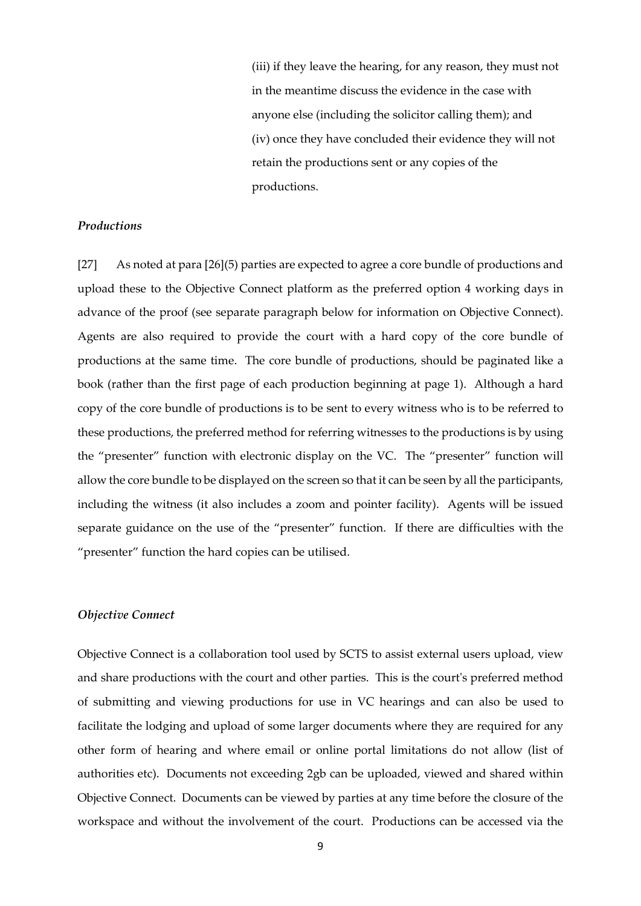(iii) if they leave the hearing, for any reason, they must not in the meantime discuss the evidence in the case with anyone else (including the solicitor calling them); and (iv) once they have concluded their evidence they will not retain the productions sent or any copies of the productions.

### *Productions*

[27] As noted at para [26](5) parties are expected to agree a core bundle of productions and upload these to the Objective Connect platform as the preferred option 4 working days in advance of the proof (see separate paragraph below for information on Objective Connect). Agents are also required to provide the court with a hard copy of the core bundle of productions at the same time. The core bundle of productions, should be paginated like a book (rather than the first page of each production beginning at page 1). Although a hard copy of the core bundle of productions is to be sent to every witness who is to be referred to these productions, the preferred method for referring witnesses to the productions is by using the "presenter" function with electronic display on the VC. The "presenter" function will allow the core bundle to be displayed on the screen so that it can be seen by all the participants, including the witness (it also includes a zoom and pointer facility). Agents will be issued separate guidance on the use of the "presenter" function. If there are difficulties with the "presenter" function the hard copies can be utilised.

### *Objective Connect*

Objective Connect is a collaboration tool used by SCTS to assist external users upload, view and share productions with the court and other parties. This is the court's preferred method of submitting and viewing productions for use in VC hearings and can also be used to facilitate the lodging and upload of some larger documents where they are required for any other form of hearing and where email or online portal limitations do not allow (list of authorities etc). Documents not exceeding 2gb can be uploaded, viewed and shared within Objective Connect. Documents can be viewed by parties at any time before the closure of the workspace and without the involvement of the court. Productions can be accessed via the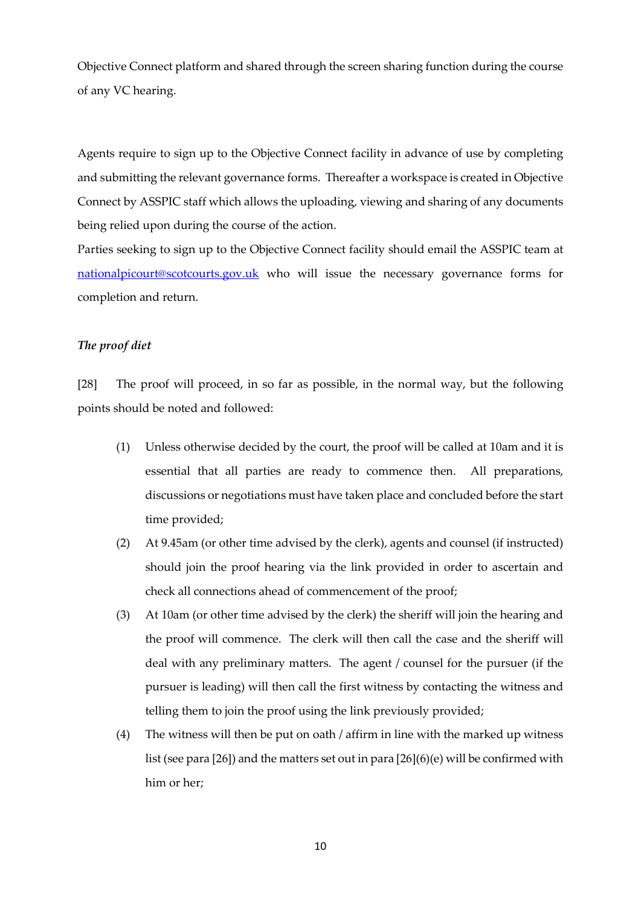Objective Connect platform and shared through the screen sharing function during the course of any VC hearing.

Agents require to sign up to the Objective Connect facility in advance of use by completing and submitting the relevant governance forms. Thereafter a workspace is created in Objective Connect by ASSPIC staff which allows the uploading, viewing and sharing of any documents being relied upon during the course of the action.

Parties seeking to sign up to the Objective Connect facility should email the ASSPIC team at [nationalpicourt@scotcourts.gov.uk](mailto:nationalpicourt@scotcourts.gov.uk) who will issue the necessary governance forms for completion and return.

### *The proof diet*

[28] The proof will proceed, in so far as possible, in the normal way, but the following points should be noted and followed:

- (1) Unless otherwise decided by the court, the proof will be called at 10am and it is essential that all parties are ready to commence then. All preparations, discussions or negotiations must have taken place and concluded before the start time provided;
- (2) At 9.45am (or other time advised by the clerk), agents and counsel (if instructed) should join the proof hearing via the link provided in order to ascertain and check all connections ahead of commencement of the proof;
- (3) At 10am (or other time advised by the clerk) the sheriff will join the hearing and the proof will commence. The clerk will then call the case and the sheriff will deal with any preliminary matters. The agent / counsel for the pursuer (if the pursuer is leading) will then call the first witness by contacting the witness and telling them to join the proof using the link previously provided;
- (4) The witness will then be put on oath / affirm in line with the marked up witness list (see para [26]) and the matters set out in para [26](6)(e) will be confirmed with him or her;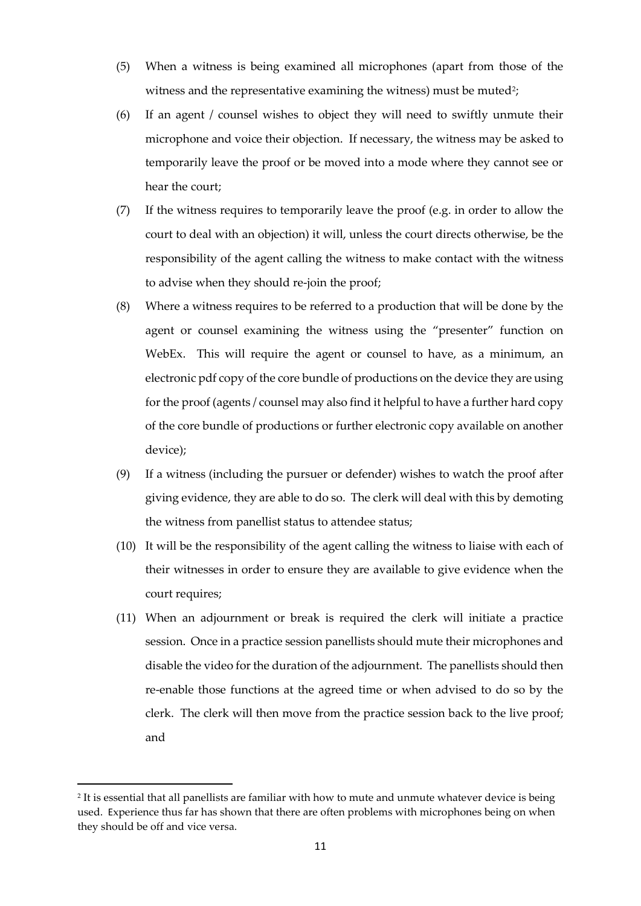- (5) When a witness is being examined all microphones (apart from those of the witness and the representative examining the witness) must be muted?;
- (6) If an agent / counsel wishes to object they will need to swiftly unmute their microphone and voice their objection. If necessary, the witness may be asked to temporarily leave the proof or be moved into a mode where they cannot see or hear the court;
- (7) If the witness requires to temporarily leave the proof (e.g. in order to allow the court to deal with an objection) it will, unless the court directs otherwise, be the responsibility of the agent calling the witness to make contact with the witness to advise when they should re-join the proof;
- (8) Where a witness requires to be referred to a production that will be done by the agent or counsel examining the witness using the "presenter" function on WebEx. This will require the agent or counsel to have, as a minimum, an electronic pdf copy of the core bundle of productions on the device they are using for the proof (agents / counsel may also find it helpful to have a further hard copy of the core bundle of productions or further electronic copy available on another device);
- (9) If a witness (including the pursuer or defender) wishes to watch the proof after giving evidence, they are able to do so. The clerk will deal with this by demoting the witness from panellist status to attendee status;
- (10) It will be the responsibility of the agent calling the witness to liaise with each of their witnesses in order to ensure they are available to give evidence when the court requires;
- (11) When an adjournment or break is required the clerk will initiate a practice session. Once in a practice session panellists should mute their microphones and disable the video for the duration of the adjournment. The panellists should then re-enable those functions at the agreed time or when advised to do so by the clerk. The clerk will then move from the practice session back to the live proof; and

**.** 

<span id="page-10-0"></span><sup>2</sup> It is essential that all panellists are familiar with how to mute and unmute whatever device is being used. Experience thus far has shown that there are often problems with microphones being on when they should be off and vice versa.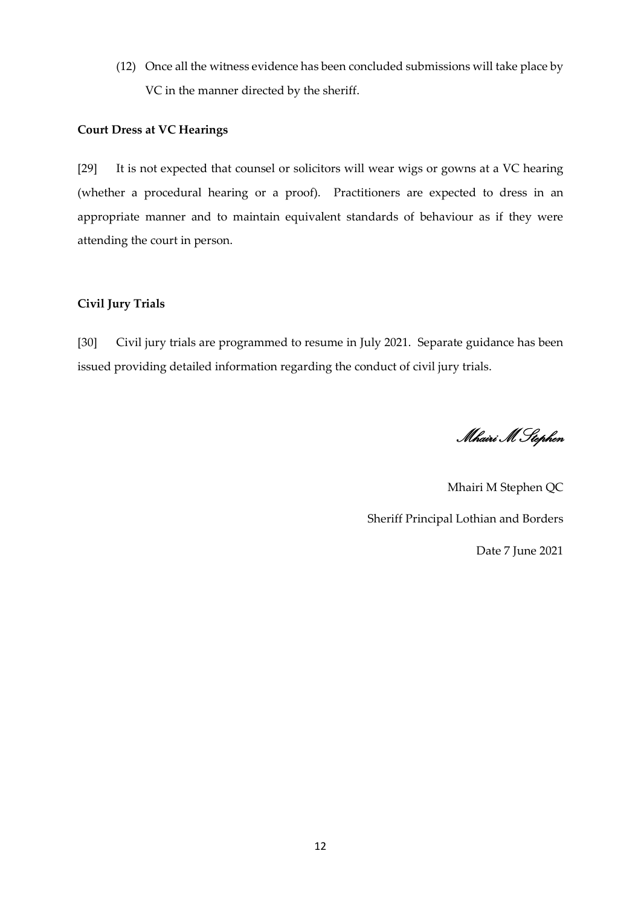(12) Once all the witness evidence has been concluded submissions will take place by VC in the manner directed by the sheriff.

### **Court Dress at VC Hearings**

[29] It is not expected that counsel or solicitors will wear wigs or gowns at a VC hearing (whether a procedural hearing or a proof). Practitioners are expected to dress in an appropriate manner and to maintain equivalent standards of behaviour as if they were attending the court in person.

### **Civil Jury Trials**

[30] Civil jury trials are programmed to resume in July 2021. Separate guidance has been issued providing detailed information regarding the conduct of civil jury trials.

Mhairi M Stephen

Mhairi M Stephen QC Sheriff Principal Lothian and Borders Date 7 June 2021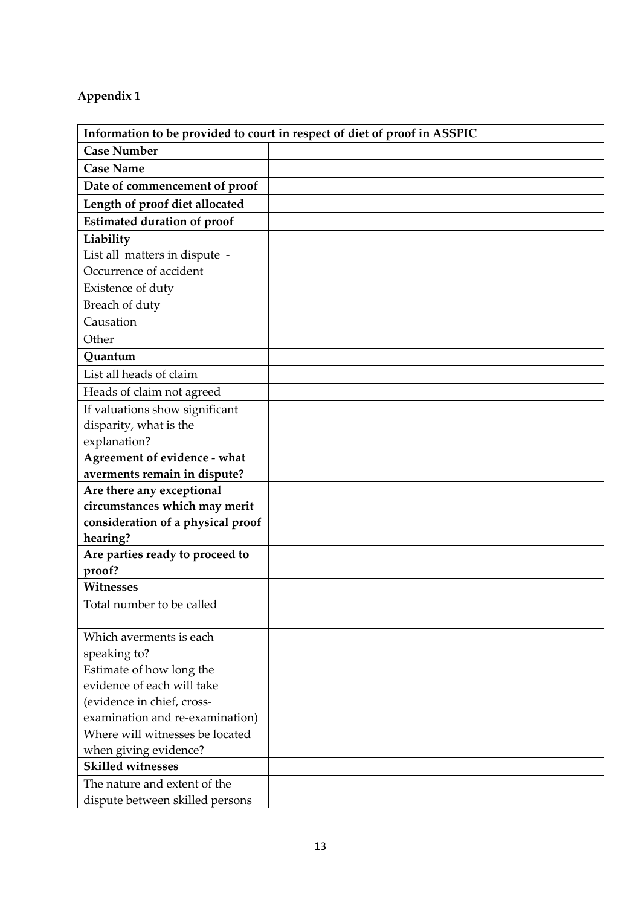# **Appendix 1**

| Information to be provided to court in respect of diet of proof in ASSPIC |  |
|---------------------------------------------------------------------------|--|
| <b>Case Number</b>                                                        |  |
| <b>Case Name</b>                                                          |  |
| Date of commencement of proof                                             |  |
| Length of proof diet allocated                                            |  |
| <b>Estimated duration of proof</b>                                        |  |
| Liability                                                                 |  |
| List all matters in dispute -                                             |  |
| Occurrence of accident                                                    |  |
| Existence of duty                                                         |  |
| Breach of duty                                                            |  |
| Causation                                                                 |  |
| Other                                                                     |  |
| Quantum                                                                   |  |
| List all heads of claim                                                   |  |
| Heads of claim not agreed                                                 |  |
| If valuations show significant                                            |  |
| disparity, what is the                                                    |  |
| explanation?                                                              |  |
| Agreement of evidence - what                                              |  |
| averments remain in dispute?                                              |  |
| Are there any exceptional                                                 |  |
| circumstances which may merit                                             |  |
| consideration of a physical proof                                         |  |
| hearing?                                                                  |  |
| Are parties ready to proceed to                                           |  |
| proof?                                                                    |  |
| <b>Witnesses</b>                                                          |  |
| Total number to be called                                                 |  |
| Which averments is each                                                   |  |
| speaking to?                                                              |  |
| Estimate of how long the                                                  |  |
| evidence of each will take                                                |  |
| (evidence in chief, cross-                                                |  |
| examination and re-examination)                                           |  |
| Where will witnesses be located                                           |  |
| when giving evidence?                                                     |  |
| <b>Skilled witnesses</b>                                                  |  |
| The nature and extent of the                                              |  |
| dispute between skilled persons                                           |  |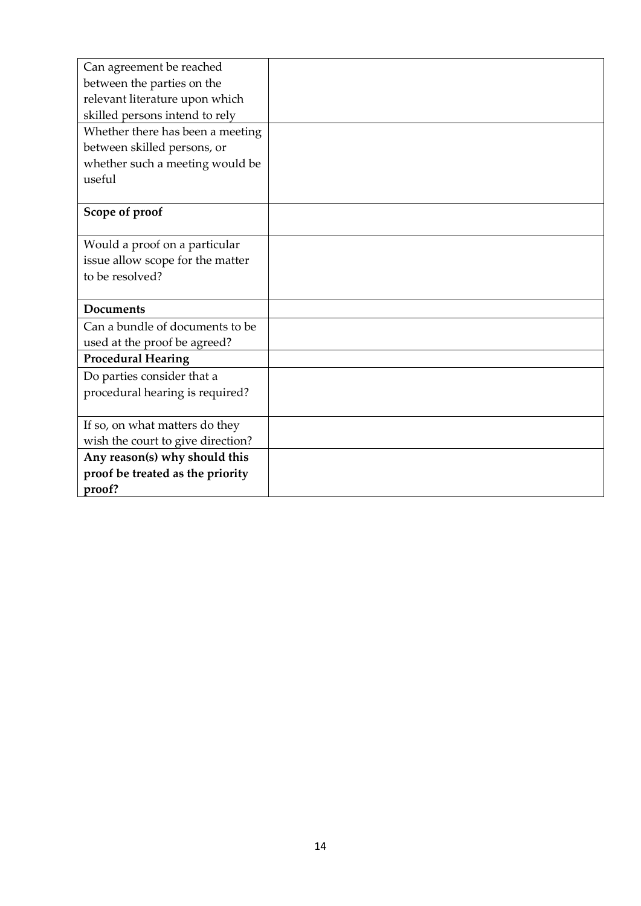| Can agreement be reached          |  |
|-----------------------------------|--|
| between the parties on the        |  |
| relevant literature upon which    |  |
| skilled persons intend to rely    |  |
| Whether there has been a meeting  |  |
| between skilled persons, or       |  |
| whether such a meeting would be   |  |
| useful                            |  |
|                                   |  |
| Scope of proof                    |  |
|                                   |  |
| Would a proof on a particular     |  |
| issue allow scope for the matter  |  |
| to be resolved?                   |  |
|                                   |  |
| <b>Documents</b>                  |  |
| Can a bundle of documents to be   |  |
| used at the proof be agreed?      |  |
| <b>Procedural Hearing</b>         |  |
| Do parties consider that a        |  |
| procedural hearing is required?   |  |
|                                   |  |
| If so, on what matters do they    |  |
| wish the court to give direction? |  |
| Any reason(s) why should this     |  |
| proof be treated as the priority  |  |
| proof?                            |  |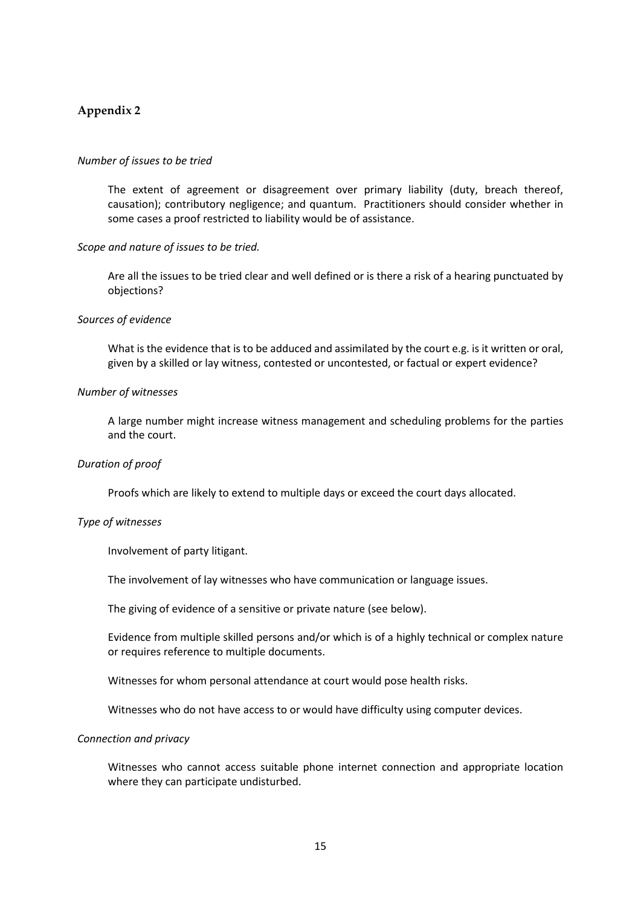### **Appendix 2**

### *Number of issues to be tried*

The extent of agreement or disagreement over primary liability (duty, breach thereof, causation); contributory negligence; and quantum. Practitioners should consider whether in some cases a proof restricted to liability would be of assistance.

### *Scope and nature of issues to be tried.*

Are all the issues to be tried clear and well defined or is there a risk of a hearing punctuated by objections?

#### *Sources of evidence*

What is the evidence that is to be adduced and assimilated by the court e.g. is it written or oral, given by a skilled or lay witness, contested or uncontested, or factual or expert evidence?

### *Number of witnesses*

A large number might increase witness management and scheduling problems for the parties and the court.

### *Duration of proof*

Proofs which are likely to extend to multiple days or exceed the court days allocated.

### *Type of witnesses*

Involvement of party litigant.

The involvement of lay witnesses who have communication or language issues.

The giving of evidence of a sensitive or private nature (see below).

Evidence from multiple skilled persons and/or which is of a highly technical or complex nature or requires reference to multiple documents.

Witnesses for whom personal attendance at court would pose health risks.

Witnesses who do not have access to or would have difficulty using computer devices.

#### *Connection and privacy*

Witnesses who cannot access suitable phone internet connection and appropriate location where they can participate undisturbed.